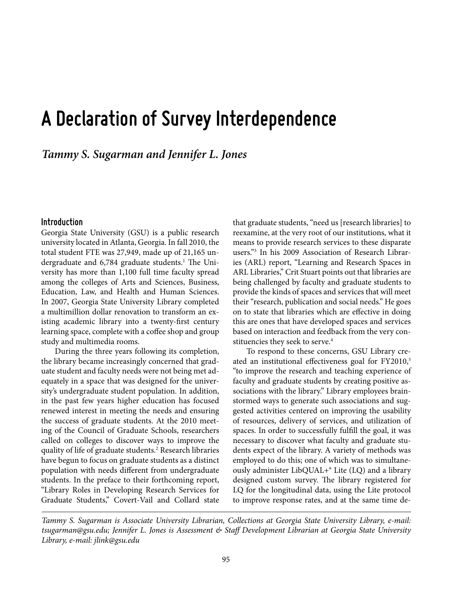# **A Declaration of Survey Interdependence**

*Tammy S. Sugarman and Jennifer L. Jones*

#### **Introduction**

Georgia State University (GSU) is a public research university located in Atlanta, Georgia. In fall 2010, the total student FTE was 27,949, made up of 21,165 undergraduate and 6,784 graduate students.<sup>1</sup> The University has more than 1,100 full time faculty spread among the colleges of Arts and Sciences, Business, Education, Law, and Health and Human Sciences. In 2007, Georgia State University Library completed a multimillion dollar renovation to transform an existing academic library into a twenty-first century learning space, complete with a coffee shop and group study and multimedia rooms.

During the three years following its completion, the library became increasingly concerned that graduate student and faculty needs were not being met adequately in a space that was designed for the university's undergraduate student population. In addition, in the past few years higher education has focused renewed interest in meeting the needs and ensuring the success of graduate students. At the 2010 meeting of the Council of Graduate Schools, researchers called on colleges to discover ways to improve the quality of life of graduate students.<sup>2</sup> Research libraries have begun to focus on graduate students as a distinct population with needs different from undergraduate students. In the preface to their forthcoming report, "Library Roles in Developing Research Services for Graduate Students," Covert-Vail and Collard state

that graduate students, "need us [research libraries] to reexamine, at the very root of our institutions, what it means to provide research services to these disparate users."3 In his 2009 Association of Research Libraries (ARL) report, "Learning and Research Spaces in ARL Libraries," Crit Stuart points out that libraries are being challenged by faculty and graduate students to provide the kinds of spaces and services that will meet their "research, publication and social needs." He goes on to state that libraries which are effective in doing this are ones that have developed spaces and services based on interaction and feedback from the very constituencies they seek to serve.<sup>4</sup>

To respond to these concerns, GSU Library created an institutional effectiveness goal for FY2010,<sup>5</sup> "to improve the research and teaching experience of faculty and graduate students by creating positive associations with the library." Library employees brainstormed ways to generate such associations and suggested activities centered on improving the usability of resources, delivery of services, and utilization of spaces. In order to successfully fulfill the goal, it was necessary to discover what faculty and graduate students expect of the library. A variety of methods was employed to do this; one of which was to simultaneously administer LibQUAL+® Lite (LQ) and a library designed custom survey. The library registered for LQ for the longitudinal data, using the Lite protocol to improve response rates, and at the same time de-

*Tammy S. Sugarman is Associate University Librarian, Collections at Georgia State University Library, e-mail: tsugarman@gsu.edu; Jennifer L. Jones is Assessment & Staff Development Librarian at Georgia State University Library, e-mail: jlink@gsu.edu*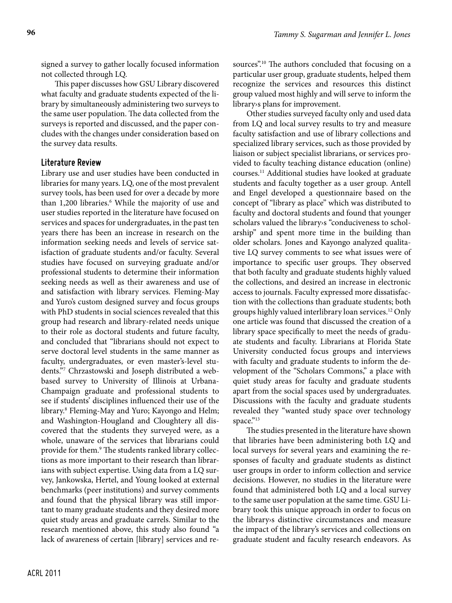signed a survey to gather locally focused information not collected through LQ.

This paper discusses how GSU Library discovered what faculty and graduate students expected of the library by simultaneously administering two surveys to the same user population. The data collected from the surveys is reported and discussed, and the paper concludes with the changes under consideration based on the survey data results.

#### **Literature Review**

Library use and user studies have been conducted in libraries for many years. LQ, one of the most prevalent survey tools, has been used for over a decade by more than 1,200 libraries.<sup>6</sup> While the majority of use and user studies reported in the literature have focused on services and spaces for undergraduates, in the past ten years there has been an increase in research on the information seeking needs and levels of service satisfaction of graduate students and/or faculty. Several studies have focused on surveying graduate and/or professional students to determine their information seeking needs as well as their awareness and use of and satisfaction with library services. Fleming-May and Yuro's custom designed survey and focus groups with PhD students in social sciences revealed that this group had research and library-related needs unique to their role as doctoral students and future faculty, and concluded that "librarians should not expect to serve doctoral level students in the same manner as faculty, undergraduates, or even master's-level students."7 Chrzastowski and Joseph distributed a webbased survey to University of Illinois at Urbana-Champaign graduate and professional students to see if students' disciplines influenced their use of the library.8 Fleming-May and Yuro; Kayongo and Helm; and Washington-Hougland and Cloughtery all discovered that the students they surveyed were, as a whole, unaware of the services that librarians could provide for them.<sup>9</sup> The students ranked library collections as more important to their research than librarians with subject expertise. Using data from a LQ survey, Jankowska, Hertel, and Young looked at external benchmarks (peer institutions) and survey comments and found that the physical library was still important to many graduate students and they desired more quiet study areas and graduate carrels. Similar to the research mentioned above, this study also found "a lack of awareness of certain [library] services and resources".<sup>10</sup> The authors concluded that focusing on a particular user group, graduate students, helped them recognize the services and resources this distinct group valued most highly and will serve to inform the library›s plans for improvement.

Other studies surveyed faculty only and used data from LQ and local survey results to try and measure faculty satisfaction and use of library collections and specialized library services, such as those provided by liaison or subject specialist librarians, or services provided to faculty teaching distance education (online) courses.11 Additional studies have looked at graduate students and faculty together as a user group. Antell and Engel developed a questionnaire based on the concept of "library as place" which was distributed to faculty and doctoral students and found that younger scholars valued the library›s "conduciveness to scholarship" and spent more time in the building than older scholars. Jones and Kayongo analyzed qualitative LQ survey comments to see what issues were of importance to specific user groups. They observed that both faculty and graduate students highly valued the collections, and desired an increase in electronic access to journals. Faculty expressed more dissatisfaction with the collections than graduate students; both groups highly valued interlibrary loan services.12 Only one article was found that discussed the creation of a library space specifically to meet the needs of graduate students and faculty. Librarians at Florida State University conducted focus groups and interviews with faculty and graduate students to inform the development of the "Scholars Commons," a place with quiet study areas for faculty and graduate students apart from the social spaces used by undergraduates. Discussions with the faculty and graduate students revealed they "wanted study space over technology space."13

The studies presented in the literature have shown that libraries have been administering both LQ and local surveys for several years and examining the responses of faculty and graduate students as distinct user groups in order to inform collection and service decisions. However, no studies in the literature were found that administered both LQ and a local survey to the same user population at the same time. GSU Library took this unique approach in order to focus on the library›s distinctive circumstances and measure the impact of the library's services and collections on graduate student and faculty research endeavors. As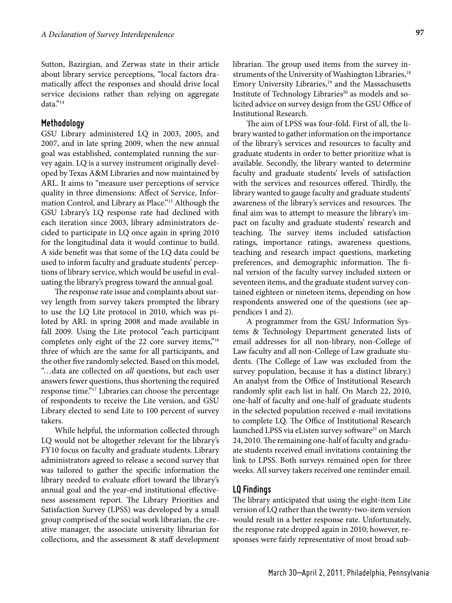Sutton, Bazirgian, and Zerwas state in their article about library service perceptions, "local factors dramatically affect the responses and should drive local service decisions rather than relying on aggregate data."14

#### **Methodology**

GSU Library administered LQ in 2003, 2005, and 2007, and in late spring 2009, when the new annual goal was established, contemplated running the survey again. LQ is a survey instrument originally developed by Texas A&M Libraries and now maintained by ARL. It aims to "measure user perceptions of service quality in three dimensions: Affect of Service, Information Control, and Library as Place."15 Although the GSU Library's LQ response rate had declined with each iteration since 2003, library administrators decided to participate in LQ once again in spring 2010 for the longitudinal data it would continue to build. A side benefit was that some of the LQ data could be used to inform faculty and graduate students' perceptions of library service, which would be useful in evaluating the library's progress toward the annual goal.

The response rate issue and complaints about survey length from survey takers prompted the library to use the LQ Lite protocol in 2010, which was piloted by ARL in spring 2008 and made available in fall 2009. Using the Lite protocol "each participant completes only eight of the 22 core survey items,"16 three of which are the same for all participants, and the other five randomly selected. Based on this model, "…data are collected on *all* questions, but each user answers fewer questions, thus shortening the required response time."17 Libraries can choose the percentage of respondents to receive the Lite version, and GSU Library elected to send Lite to 100 percent of survey takers.

While helpful, the information collected through LQ would not be altogether relevant for the library's FY10 focus on faculty and graduate students. Library administrators agreed to release a second survey that was tailored to gather the specific information the library needed to evaluate effort toward the library's annual goal and the year-end institutional effectiveness assessment report. The Library Priorities and Satisfaction Survey (LPSS) was developed by a small group comprised of the social work librarian, the creative manager, the associate university librarian for collections, and the assessment & staff development librarian. The group used items from the survey instruments of the University of Washington Libraries,<sup>18</sup> Emory University Libraries,<sup>19</sup> and the Massachusetts Institute of Technology Libraries<sup>20</sup> as models and solicited advice on survey design from the GSU Office of Institutional Research.

The aim of LPSS was four-fold. First of all, the library wanted to gather information on the importance of the library's services and resources to faculty and graduate students in order to better prioritize what is available. Secondly, the library wanted to determine faculty and graduate students' levels of satisfaction with the services and resources offered. Thirdly, the library wanted to gauge faculty and graduate students' awareness of the library's services and resources. The final aim was to attempt to measure the library's impact on faculty and graduate students' research and teaching. The survey items included satisfaction ratings, importance ratings, awareness questions, teaching and research impact questions, marketing preferences, and demographic information. The final version of the faculty survey included sixteen or seventeen items, and the graduate student survey contained eighteen or nineteen items, depending on how respondents answered one of the questions (see appendices 1 and 2).

A programmer from the GSU Information Systems & Technology Department generated lists of email addresses for all non-library, non-College of Law faculty and all non-College of Law graduate students. (The College of Law was excluded from the survey population, because it has a distinct library.) An analyst from the Office of Institutional Research randomly split each list in half. On March 22, 2010, one-half of faculty and one-half of graduate students in the selected population received e-mail invitations to complete LQ. The Office of Institutional Research launched LPSS via eListen survey software<sup>21</sup> on March 24, 2010. The remaining one-half of faculty and graduate students received email invitations containing the link to LPSS. Both surveys remained open for three weeks. All survey takers received one reminder email.

#### **LQ Findings**

The library anticipated that using the eight-item Lite version of LQ rather than the twenty-two-item version would result in a better response rate. Unfortunately, the response rate dropped again in 2010; however, responses were fairly representative of most broad sub-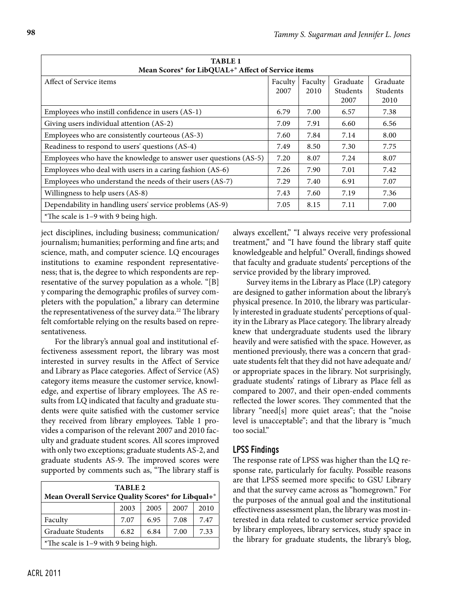| <b>TABLE 1</b><br>Mean Scores* for LibQUAL+ <sup>®</sup> Affect of Service items |                 |                 |                              |                              |  |
|----------------------------------------------------------------------------------|-----------------|-----------------|------------------------------|------------------------------|--|
| Affect of Service items                                                          | Faculty<br>2007 | Faculty<br>2010 | Graduate<br>Students<br>2007 | Graduate<br>Students<br>2010 |  |
| Employees who instill confidence in users (AS-1)                                 | 6.79            | 7.00            | 6.57                         | 7.38                         |  |
| Giving users individual attention (AS-2)                                         |                 | 7.91            | 6.60                         | 6.56                         |  |
| Employees who are consistently courteous (AS-3)                                  |                 | 7.84            | 7.14                         | 8.00                         |  |
| Readiness to respond to users' questions (AS-4)                                  |                 | 8.50            | 7.30                         | 7.75                         |  |
| Employees who have the knowledge to answer user questions (AS-5)                 | 7.20            | 8.07            | 7.24                         | 8.07                         |  |
| Employees who deal with users in a caring fashion (AS-6)                         | 7.26            | 7.90            | 7.01                         | 7.42                         |  |
| Employees who understand the needs of their users (AS-7)                         | 7.29            | 7.40            | 6.91                         | 7.07                         |  |
| Willingness to help users (AS-8)                                                 | 7.43            | 7.60            | 7.19                         | 7.36                         |  |
| Dependability in handling users' service problems (AS-9)                         | 7.05            | 8.15            | 7.11                         | 7.00                         |  |
| *The scale is $1-9$ with 9 being high.                                           |                 |                 |                              |                              |  |

ject disciplines, including business; communication/ journalism; humanities; performing and fine arts; and science, math, and computer science. LQ encourages institutions to examine respondent representativeness; that is, the degree to which respondents are representative of the survey population as a whole. "[B] y comparing the demographic profiles of survey completers with the population," a library can determine the representativeness of the survey data.<sup>22</sup> The library felt comfortable relying on the results based on representativeness.

For the library's annual goal and institutional effectiveness assessment report, the library was most interested in survey results in the Affect of Service and Library as Place categories. Affect of Service (AS) category items measure the customer service, knowledge, and expertise of library employees. The AS results from LQ indicated that faculty and graduate students were quite satisfied with the customer service they received from library employees. Table 1 provides a comparison of the relevant 2007 and 2010 faculty and graduate student scores. All scores improved with only two exceptions; graduate students AS-2, and graduate students AS-9. The improved scores were supported by comments such as, "The library staff is

| TABLE 2                                            |                              |      |      |      |  |  |
|----------------------------------------------------|------------------------------|------|------|------|--|--|
| Mean Overall Service Quality Scores* for Libqual+® |                              |      |      |      |  |  |
| 2003<br>2005<br>2007<br>2010                       |                              |      |      |      |  |  |
| Faculty                                            | 7.07                         | 6.95 | 7.08 | 7.47 |  |  |
| Graduate Students                                  | 6.82<br>6.84<br>7.33<br>7.00 |      |      |      |  |  |
| *The scale is $1-9$ with 9 being high.             |                              |      |      |      |  |  |

always excellent," "I always receive very professional treatment," and "I have found the library staff quite knowledgeable and helpful." Overall, findings showed that faculty and graduate students' perceptions of the service provided by the library improved.

Survey items in the Library as Place (LP) category are designed to gather information about the library's physical presence. In 2010, the library was particularly interested in graduate students' perceptions of quality in the Library as Place category. The library already knew that undergraduate students used the library heavily and were satisfied with the space. However, as mentioned previously, there was a concern that graduate students felt that they did not have adequate and/ or appropriate spaces in the library. Not surprisingly, graduate students' ratings of Library as Place fell as compared to 2007, and their open-ended comments reflected the lower scores. They commented that the library "need[s] more quiet areas"; that the "noise level is unacceptable"; and that the library is "much too social."

### **LPSS Findings**

The response rate of LPSS was higher than the LQ response rate, particularly for faculty. Possible reasons are that LPSS seemed more specific to GSU Library and that the survey came across as "homegrown." For the purposes of the annual goal and the institutional effectiveness assessment plan, the library was most interested in data related to customer service provided by library employees, library services, study space in the library for graduate students, the library's blog,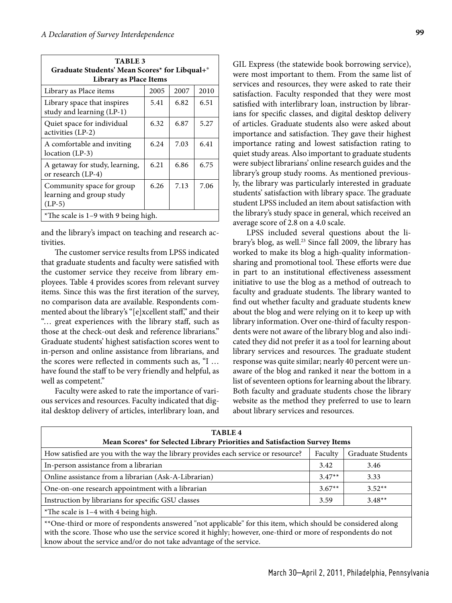| <b>TABLE 3</b><br>Graduate Students' Mean Scores* for Libqual+<br><b>Library as Place Items</b> |      |      |      |  |  |
|-------------------------------------------------------------------------------------------------|------|------|------|--|--|
| Library as Place items                                                                          | 2005 | 2007 | 2010 |  |  |
| Library space that inspires<br>study and learning (LP-1)                                        | 5.41 | 6.82 | 6.51 |  |  |
| Quiet space for individual<br>activities (LP-2)                                                 | 6.32 | 6.87 | 5.27 |  |  |
| A comfortable and inviting<br>location (LP-3)                                                   | 6.24 | 7.03 | 6.41 |  |  |
| A getaway for study, learning,<br>or research (LP-4)                                            | 6.21 | 6.86 | 6.75 |  |  |
| Community space for group<br>learning and group study<br>$(LP-5)$                               | 6.26 | 7.13 | 7.06 |  |  |
| *The scale is $1-9$ with 9 being high.                                                          |      |      |      |  |  |

and the library's impact on teaching and research activities.

The customer service results from LPSS indicated that graduate students and faculty were satisfied with the customer service they receive from library employees. Table 4 provides scores from relevant survey items. Since this was the first iteration of the survey, no comparison data are available. Respondents commented about the library's "[e]xcellent staff," and their "… great experiences with the library staff, such as those at the check-out desk and reference librarians." Graduate students' highest satisfaction scores went to in-person and online assistance from librarians, and the scores were reflected in comments such as, "I … have found the staff to be very friendly and helpful, as well as competent."

Faculty were asked to rate the importance of various services and resources. Faculty indicated that digital desktop delivery of articles, interlibrary loan, and

GIL Express (the statewide book borrowing service), were most important to them. From the same list of services and resources, they were asked to rate their satisfaction. Faculty responded that they were most satisfied with interlibrary loan, instruction by librarians for specific classes, and digital desktop delivery of articles. Graduate students also were asked about importance and satisfaction. They gave their highest importance rating and lowest satisfaction rating to quiet study areas. Also important to graduate students were subject librarians' online research guides and the library's group study rooms. As mentioned previously, the library was particularly interested in graduate students' satisfaction with library space. The graduate student LPSS included an item about satisfaction with the library's study space in general, which received an average score of 2.8 on a 4.0 scale.

LPSS included several questions about the library's blog, as well.<sup>23</sup> Since fall 2009, the library has worked to make its blog a high-quality informationsharing and promotional tool. These efforts were due in part to an institutional effectiveness assessment initiative to use the blog as a method of outreach to faculty and graduate students. The library wanted to find out whether faculty and graduate students knew about the blog and were relying on it to keep up with library information. Over one-third of faculty respondents were not aware of the library blog and also indicated they did not prefer it as a tool for learning about library services and resources. The graduate student response was quite similar; nearly 40 percent were unaware of the blog and ranked it near the bottom in a list of seventeen options for learning about the library. Both faculty and graduate students chose the library website as the method they preferred to use to learn about library services and resources.

| <b>TABLE 4</b><br>Mean Scores* for Selected Library Priorities and Satisfaction Survey Items                                                                                                                                                                                                        |          |                   |  |  |  |
|-----------------------------------------------------------------------------------------------------------------------------------------------------------------------------------------------------------------------------------------------------------------------------------------------------|----------|-------------------|--|--|--|
| How satisfied are you with the way the library provides each service or resource?                                                                                                                                                                                                                   | Faculty  | Graduate Students |  |  |  |
| In-person assistance from a librarian                                                                                                                                                                                                                                                               | 3.42     | 3.46              |  |  |  |
| Online assistance from a librarian (Ask-A-Librarian)                                                                                                                                                                                                                                                | $3.47**$ | 3.33              |  |  |  |
| One-on-one research appointment with a librarian                                                                                                                                                                                                                                                    | $3.67**$ | $3.52**$          |  |  |  |
| Instruction by librarians for specific GSU classes                                                                                                                                                                                                                                                  | 3.59     | $3.48**$          |  |  |  |
| *The scale is 1-4 with 4 being high.                                                                                                                                                                                                                                                                |          |                   |  |  |  |
| **One-third or more of respondents answered "not applicable" for this item, which should be considered along<br>with the score. Those who use the service scored it highly; however, one-third or more of respondents do not<br>know about the service and/or do not take advantage of the service. |          |                   |  |  |  |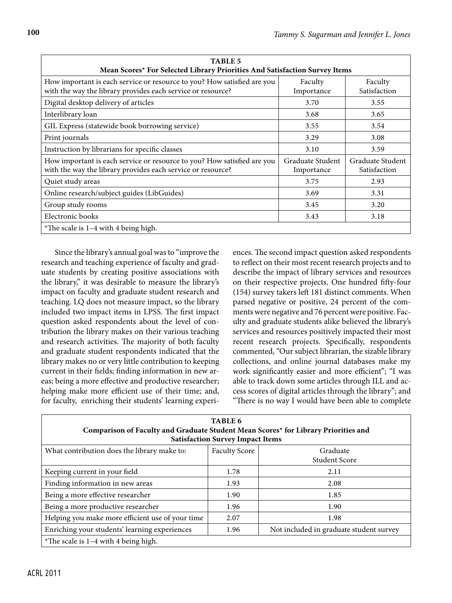| <b>TABLE 5</b><br>Mean Scores* For Selected Library Priorities And Satisfaction Survey Items                                           |                                |                                  |  |  |  |
|----------------------------------------------------------------------------------------------------------------------------------------|--------------------------------|----------------------------------|--|--|--|
| How important is each service or resource to you? How satisfied are you<br>with the way the library provides each service or resource? | Faculty<br>Importance          | Faculty<br>Satisfaction          |  |  |  |
| Digital desktop delivery of articles                                                                                                   | 3.70                           | 3.55                             |  |  |  |
| Interlibrary loan                                                                                                                      | 3.68                           | 3.65                             |  |  |  |
| GIL Express (statewide book borrowing service)                                                                                         | 3.55                           | 3.54                             |  |  |  |
| Print journals                                                                                                                         | 3.29                           | 3.08                             |  |  |  |
| Instruction by librarians for specific classes                                                                                         | 3.10                           | 3.59                             |  |  |  |
| How important is each service or resource to you? How satisfied are you<br>with the way the library provides each service or resource? | Graduate Student<br>Importance | Graduate Student<br>Satisfaction |  |  |  |
| Quiet study areas                                                                                                                      | 3.75                           | 2.93                             |  |  |  |
| Online research/subject guides (LibGuides)                                                                                             | 3.69                           | 3.31                             |  |  |  |
| Group study rooms                                                                                                                      | 3.45                           | 3.20                             |  |  |  |
| Electronic books                                                                                                                       | 3.43                           | 3.18                             |  |  |  |
| *The scale is $1-4$ with 4 being high.                                                                                                 |                                |                                  |  |  |  |

Since the library's annual goal was to "improve the research and teaching experience of faculty and graduate students by creating positive associations with the library," it was desirable to measure the library's impact on faculty and graduate student research and teaching. LQ does not measure impact, so the library included two impact items in LPSS. The first impact question asked respondents about the level of contribution the library makes on their various teaching and research activities. The majority of both faculty and graduate student respondents indicated that the library makes no or very little contribution to keeping current in their fields; finding information in new areas; being a more effective and productive researcher; helping make more efficient use of their time; and, for faculty, enriching their students' learning experi-

ences. The second impact question asked respondents to reflect on their most recent research projects and to describe the impact of library services and resources on their respective projects. One hundred fifty-four (154) survey takers left 181 distinct comments. When parsed negative or positive, 24 percent of the comments were negative and 76 percent were positive. Faculty and graduate students alike believed the library's services and resources positively impacted their most recent research projects. Specifically, respondents commented, "Our subject librarian, the sizable library collections, and online journal databases make my work significantly easier and more efficient"; "I was able to track down some articles through ILL and access scores of digital articles through the library"; and "There is no way I would have been able to complete

| TABLE 6<br>Comparison of Faculty and Graduate Student Mean Scores* for Library Priorities and<br><b>Satisfaction Survey Impact Items</b> |                      |                                         |  |  |  |
|------------------------------------------------------------------------------------------------------------------------------------------|----------------------|-----------------------------------------|--|--|--|
| What contribution does the library make to:                                                                                              | <b>Faculty Score</b> | Graduate<br>Student Score               |  |  |  |
| Keeping current in your field                                                                                                            | 1.78                 | 2.11                                    |  |  |  |
| Finding information in new areas                                                                                                         | 1.93                 | 2.08                                    |  |  |  |
| Being a more effective researcher                                                                                                        | 1.90                 | 1.85                                    |  |  |  |
| Being a more productive researcher                                                                                                       | 1.96                 | 1.90                                    |  |  |  |
| Helping you make more efficient use of your time                                                                                         | 2.07                 | 1.98                                    |  |  |  |
| Enriching your students' learning experiences                                                                                            | 1.96                 | Not included in graduate student survey |  |  |  |
| *The scale is $1-4$ with 4 being high.                                                                                                   |                      |                                         |  |  |  |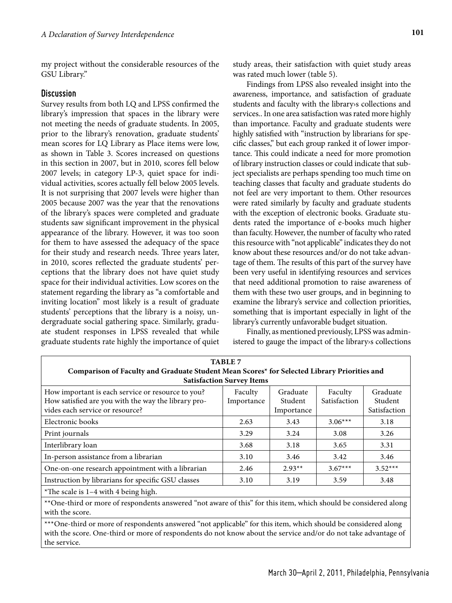my project without the considerable resources of the GSU Library."

#### **Discussion**

Survey results from both LQ and LPSS confirmed the library's impression that spaces in the library were not meeting the needs of graduate students. In 2005, prior to the library's renovation, graduate students' mean scores for LQ Library as Place items were low, as shown in Table 3. Scores increased on questions in this section in 2007, but in 2010, scores fell below 2007 levels; in category LP-3, quiet space for individual activities, scores actually fell below 2005 levels. It is not surprising that 2007 levels were higher than 2005 because 2007 was the year that the renovations of the library's spaces were completed and graduate students saw significant improvement in the physical appearance of the library. However, it was too soon for them to have assessed the adequacy of the space for their study and research needs. Three years later, in 2010, scores reflected the graduate students' perceptions that the library does not have quiet study space for their individual activities. Low scores on the statement regarding the library as "a comfortable and inviting location" most likely is a result of graduate students' perceptions that the library is a noisy, undergraduate social gathering space. Similarly, graduate student responses in LPSS revealed that while graduate students rate highly the importance of quiet study areas, their satisfaction with quiet study areas was rated much lower (table 5).

Findings from LPSS also revealed insight into the awareness, importance, and satisfaction of graduate students and faculty with the library›s collections and services.. In one area satisfaction was rated more highly than importance. Faculty and graduate students were highly satisfied with "instruction by librarians for specific classes," but each group ranked it of lower importance. This could indicate a need for more promotion of library instruction classes or could indicate that subject specialists are perhaps spending too much time on teaching classes that faculty and graduate students do not feel are very important to them. Other resources were rated similarly by faculty and graduate students with the exception of electronic books. Graduate students rated the importance of e-books much higher than faculty. However, the number of faculty who rated this resource with "not applicable" indicates they do not know about these resources and/or do not take advantage of them. The results of this part of the survey have been very useful in identifying resources and services that need additional promotion to raise awareness of them with these two user groups, and in beginning to examine the library's service and collection priorities, something that is important especially in light of the library's currently unfavorable budget situation.

Finally, as mentioned previously, LPSS was administered to gauge the impact of the library›s collections

| <b>TABLE 7</b>                                                                                                                              |                       |                                   |                         |                                     |  |  |  |
|---------------------------------------------------------------------------------------------------------------------------------------------|-----------------------|-----------------------------------|-------------------------|-------------------------------------|--|--|--|
| Comparison of Faculty and Graduate Student Mean Scores* for Selected Library Priorities and                                                 |                       |                                   |                         |                                     |  |  |  |
| <b>Satisfaction Survey Items</b>                                                                                                            |                       |                                   |                         |                                     |  |  |  |
| How important is each service or resource to you?<br>How satisfied are you with the way the library pro-<br>vides each service or resource? | Faculty<br>Importance | Graduate<br>Student<br>Importance | Faculty<br>Satisfaction | Graduate<br>Student<br>Satisfaction |  |  |  |
| Electronic books                                                                                                                            | 2.63                  | 3.43                              | $3.06***$               | 3.18                                |  |  |  |
| Print journals                                                                                                                              | 3.29                  | 3.24                              | 3.08                    | 3.26                                |  |  |  |
| Interlibrary loan                                                                                                                           | 3.68                  | 3.18                              | 3.65                    | 3.31                                |  |  |  |
| In-person assistance from a librarian                                                                                                       | 3.10                  | 3.46                              | 3.42                    | 3.46                                |  |  |  |
| One-on-one research appointment with a librarian                                                                                            | 2.46                  | $2.93**$                          | $3.67***$               | $3.52***$                           |  |  |  |
| Instruction by librarians for specific GSU classes                                                                                          | 3.10                  | 3.19                              | 3.59                    | 3.48                                |  |  |  |
| *The scale is $1-4$ with 4 being high.                                                                                                      |                       |                                   |                         |                                     |  |  |  |
|                                                                                                                                             |                       |                                   |                         |                                     |  |  |  |

\*\*One-third or more of respondents answered "not aware of this" for this item, which should be considered along with the score.

\*\*\*One-third or more of respondents answered "not applicable" for this item, which should be considered along with the score. One-third or more of respondents do not know about the service and/or do not take advantage of the service.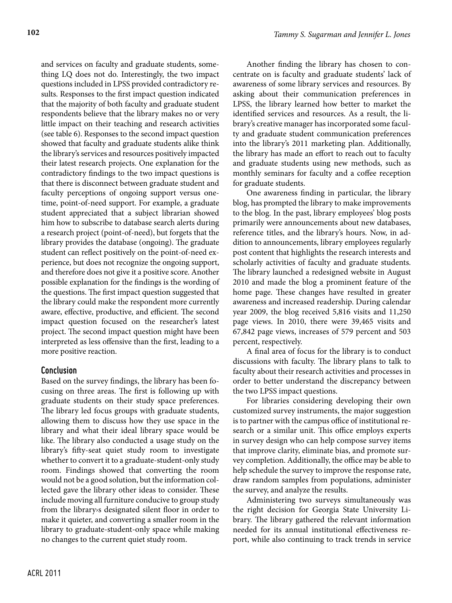and services on faculty and graduate students, something LQ does not do. Interestingly, the two impact questions included in LPSS provided contradictory results. Responses to the first impact question indicated that the majority of both faculty and graduate student respondents believe that the library makes no or very little impact on their teaching and research activities (see table 6). Responses to the second impact question showed that faculty and graduate students alike think the library's services and resources positively impacted their latest research projects. One explanation for the contradictory findings to the two impact questions is that there is disconnect between graduate student and faculty perceptions of ongoing support versus onetime, point-of-need support. For example, a graduate student appreciated that a subject librarian showed him how to subscribe to database search alerts during a research project (point-of-need), but forgets that the library provides the database (ongoing). The graduate student can reflect positively on the point-of-need experience, but does not recognize the ongoing support, and therefore does not give it a positive score. Another possible explanation for the findings is the wording of the questions. The first impact question suggested that the library could make the respondent more currently aware, effective, productive, and efficient. The second impact question focused on the researcher's latest project. The second impact question might have been interpreted as less offensive than the first, leading to a more positive reaction.

#### **Conclusion**

Based on the survey findings, the library has been focusing on three areas. The first is following up with graduate students on their study space preferences. The library led focus groups with graduate students, allowing them to discuss how they use space in the library and what their ideal library space would be like. The library also conducted a usage study on the library's fifty-seat quiet study room to investigate whether to convert it to a graduate-student-only study room. Findings showed that converting the room would not be a good solution, but the information collected gave the library other ideas to consider. These include moving all furniture conducive to group study from the library›s designated silent floor in order to make it quieter, and converting a smaller room in the library to graduate-student-only space while making no changes to the current quiet study room.

Another finding the library has chosen to concentrate on is faculty and graduate students' lack of awareness of some library services and resources. By asking about their communication preferences in LPSS, the library learned how better to market the identified services and resources. As a result, the library's creative manager has incorporated some faculty and graduate student communication preferences into the library's 2011 marketing plan. Additionally, the library has made an effort to reach out to faculty and graduate students using new methods, such as monthly seminars for faculty and a coffee reception for graduate students.

One awareness finding in particular, the library blog, has prompted the library to make improvements to the blog. In the past, library employees' blog posts primarily were announcements about new databases, reference titles, and the library's hours. Now, in addition to announcements, library employees regularly post content that highlights the research interests and scholarly activities of faculty and graduate students. The library launched a redesigned website in August 2010 and made the blog a prominent feature of the home page. These changes have resulted in greater awareness and increased readership. During calendar year 2009, the blog received 5,816 visits and 11,250 page views. In 2010, there were 39,465 visits and 67,842 page views, increases of 579 percent and 503 percent, respectively.

A final area of focus for the library is to conduct discussions with faculty. The library plans to talk to faculty about their research activities and processes in order to better understand the discrepancy between the two LPSS impact questions.

For libraries considering developing their own customized survey instruments, the major suggestion is to partner with the campus office of institutional research or a similar unit. This office employs experts in survey design who can help compose survey items that improve clarity, eliminate bias, and promote survey completion. Additionally, the office may be able to help schedule the survey to improve the response rate, draw random samples from populations, administer the survey, and analyze the results.

Administering two surveys simultaneously was the right decision for Georgia State University Library. The library gathered the relevant information needed for its annual institutional effectiveness report, while also continuing to track trends in service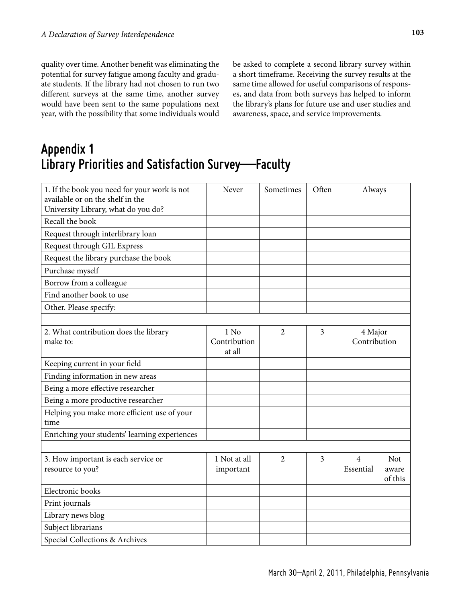quality over time. Another benefit was eliminating the potential for survey fatigue among faculty and graduate students. If the library had not chosen to run two different surveys at the same time, another survey would have been sent to the same populations next year, with the possibility that some individuals would be asked to complete a second library survey within a short timeframe. Receiving the survey results at the same time allowed for useful comparisons of responses, and data from both surveys has helped to inform the library's plans for future use and user studies and awareness, space, and service improvements.

## **Appendix 1 Library Priorities and Satisfaction Survey—Faculty**

| 1. If the book you need for your work is not<br>available or on the shelf in the<br>University Library, what do you do? | Never                            | Sometimes      | Often          | Always                      |                         |
|-------------------------------------------------------------------------------------------------------------------------|----------------------------------|----------------|----------------|-----------------------------|-------------------------|
| Recall the book                                                                                                         |                                  |                |                |                             |                         |
| Request through interlibrary loan                                                                                       |                                  |                |                |                             |                         |
| Request through GIL Express                                                                                             |                                  |                |                |                             |                         |
| Request the library purchase the book                                                                                   |                                  |                |                |                             |                         |
| Purchase myself                                                                                                         |                                  |                |                |                             |                         |
| Borrow from a colleague                                                                                                 |                                  |                |                |                             |                         |
| Find another book to use                                                                                                |                                  |                |                |                             |                         |
| Other. Please specify:                                                                                                  |                                  |                |                |                             |                         |
|                                                                                                                         |                                  |                |                |                             |                         |
| 2. What contribution does the library<br>make to:                                                                       | $1$ No<br>Contribution<br>at all | $\overline{2}$ | $\overline{3}$ | 4 Major<br>Contribution     |                         |
| Keeping current in your field                                                                                           |                                  |                |                |                             |                         |
| Finding information in new areas                                                                                        |                                  |                |                |                             |                         |
| Being a more effective researcher                                                                                       |                                  |                |                |                             |                         |
| Being a more productive researcher                                                                                      |                                  |                |                |                             |                         |
| Helping you make more efficient use of your<br>time                                                                     |                                  |                |                |                             |                         |
| Enriching your students' learning experiences                                                                           |                                  |                |                |                             |                         |
|                                                                                                                         |                                  |                |                |                             |                         |
| 3. How important is each service or<br>resource to you?                                                                 | 1 Not at all<br>important        | $\overline{2}$ | 3              | $\overline{4}$<br>Essential | Not<br>aware<br>of this |
| Electronic books                                                                                                        |                                  |                |                |                             |                         |
| Print journals                                                                                                          |                                  |                |                |                             |                         |
| Library news blog                                                                                                       |                                  |                |                |                             |                         |
| Subject librarians                                                                                                      |                                  |                |                |                             |                         |
| Special Collections & Archives                                                                                          |                                  |                |                |                             |                         |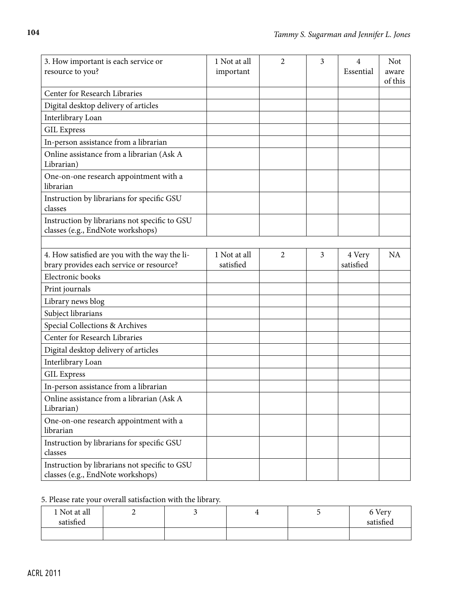| 3. How important is each service or<br>resource to you?                                   | 1 Not at all<br>important | $\overline{2}$ | 3 | 4<br>Essential      | <b>Not</b><br>aware<br>of this |
|-------------------------------------------------------------------------------------------|---------------------------|----------------|---|---------------------|--------------------------------|
| Center for Research Libraries                                                             |                           |                |   |                     |                                |
| Digital desktop delivery of articles                                                      |                           |                |   |                     |                                |
| Interlibrary Loan                                                                         |                           |                |   |                     |                                |
| <b>GIL Express</b>                                                                        |                           |                |   |                     |                                |
| In-person assistance from a librarian                                                     |                           |                |   |                     |                                |
| Online assistance from a librarian (Ask A<br>Librarian)                                   |                           |                |   |                     |                                |
| One-on-one research appointment with a<br>librarian                                       |                           |                |   |                     |                                |
| Instruction by librarians for specific GSU<br>classes                                     |                           |                |   |                     |                                |
| Instruction by librarians not specific to GSU<br>classes (e.g., EndNote workshops)        |                           |                |   |                     |                                |
|                                                                                           |                           |                |   |                     |                                |
| 4. How satisfied are you with the way the li-<br>brary provides each service or resource? | 1 Not at all<br>satisfied | $\overline{2}$ | 3 | 4 Very<br>satisfied | <b>NA</b>                      |
| Electronic books                                                                          |                           |                |   |                     |                                |
| Print journals                                                                            |                           |                |   |                     |                                |
| Library news blog                                                                         |                           |                |   |                     |                                |
| Subject librarians                                                                        |                           |                |   |                     |                                |
| Special Collections & Archives                                                            |                           |                |   |                     |                                |
| Center for Research Libraries                                                             |                           |                |   |                     |                                |
| Digital desktop delivery of articles                                                      |                           |                |   |                     |                                |
| Interlibrary Loan                                                                         |                           |                |   |                     |                                |
| <b>GIL Express</b>                                                                        |                           |                |   |                     |                                |
| In-person assistance from a librarian                                                     |                           |                |   |                     |                                |
| Online assistance from a librarian (Ask A<br>Librarian)                                   |                           |                |   |                     |                                |
| One-on-one research appointment with a<br>librarian                                       |                           |                |   |                     |                                |
| Instruction by librarians for specific GSU<br>classes                                     |                           |                |   |                     |                                |
| Instruction by librarians not specific to GSU<br>classes (e.g., EndNote workshops)        |                           |                |   |                     |                                |

## 5. Please rate your overall satisfaction with the library.

| 1 Not at all | ∸ |  | 6 Very    |
|--------------|---|--|-----------|
| satisfied    |   |  | satisfied |
|              |   |  |           |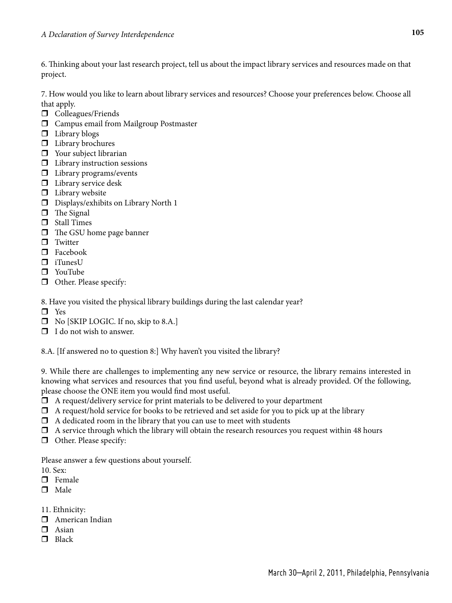6. Thinking about your last research project, tell us about the impact library services and resources made on that project.

7. How would you like to learn about library services and resources? Choose your preferences below. Choose all that apply.

- $\Box$  Colleagues/Friends
- Campus email from Mailgroup Postmaster
- $\Box$  Library blogs
- $\Box$  Library brochures
- **D** Your subject librarian
- $\Box$  Library instruction sessions
- **I** Library programs/events
- $\Box$  Library service desk
- $\Box$  Library website
- Displays/exhibits on Library North 1
- $\Box$  The Signal
- **D** Stall Times
- $\Box$  The GSU home page banner
- $\Box$  Twitter
- □ Facebook
- $\Box$  iTunesU
- YouTube
- Other. Please specify:
- 8. Have you visited the physical library buildings during the last calendar year?
- □ Yes
- □ No [SKIP LOGIC. If no, skip to 8.A.]
- $\Box$  I do not wish to answer.

8.A. [If answered no to question 8:] Why haven't you visited the library?

9. While there are challenges to implementing any new service or resource, the library remains interested in knowing what services and resources that you find useful, beyond what is already provided. Of the following, please choose the ONE item you would find most useful.

- $\Box$  A request/delivery service for print materials to be delivered to your department
- $\Box$  A request/hold service for books to be retrieved and set aside for you to pick up at the library
- $\Box$  A dedicated room in the library that you can use to meet with students
- $\Box$  A service through which the library will obtain the research resources you request within 48 hours
- **Other.** Please specify:

Please answer a few questions about yourself.

- 10. Sex:
- $\Box$  Female
- $\Box$  Male
- 11. Ethnicity:
- American Indian
- $\Box$  Asian
- $\Box$  Black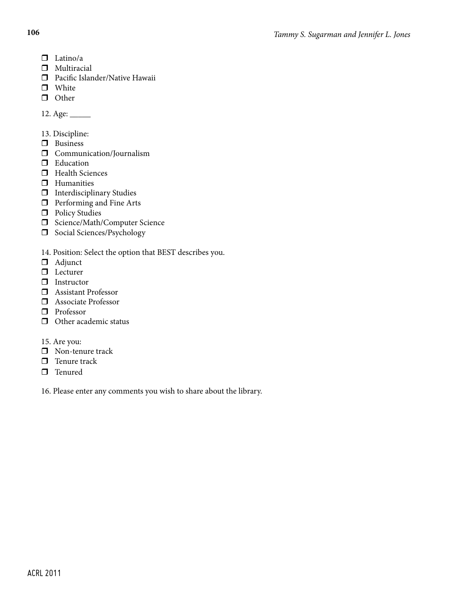- $\Box$  Latino/a
- $\Box$  Multiracial
- Pacific Islander/Native Hawaii
- **D** White
- **O** Other

12. Age: \_\_\_\_\_\_\_

- 13. Discipline:
- **D** Business
- **Communication/Journalism**
- **D** Education
- $\Box$  Health Sciences
- $\Box$  Humanities
- $\Box$  Interdisciplinary Studies
- **D** Performing and Fine Arts
- $\Box$  Policy Studies
- □ Science/Math/Computer Science
- Social Sciences/Psychology

14. Position: Select the option that BEST describes you.

- Adjunct
- □ Lecturer
- **I**nstructor
- **D** Assistant Professor
- **Associate Professor**
- **D** Professor
- $\Box$  Other academic status
- 15. Are you:
- **Non-tenure track**
- $\Box$  Tenure track
- $\Box$  Tenured

16. Please enter any comments you wish to share about the library.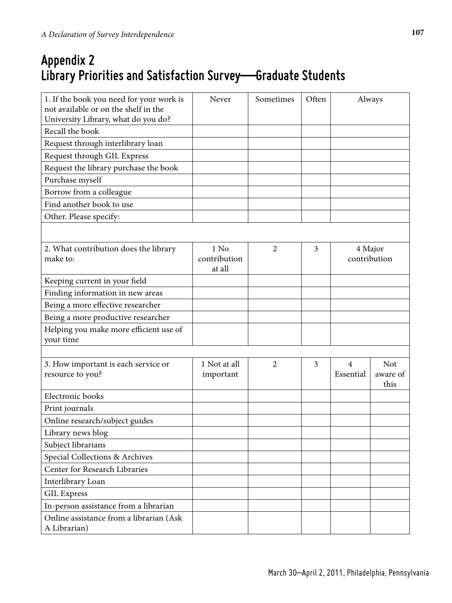## **Appendix 2 Library Priorities and Satisfaction Survey—Graduate Students**

| 1. If the book you need for your work is<br>not available or on the shelf in the<br>University Library, what do you do? | Never                     | Sometimes      | Often | Always                      |                        |
|-------------------------------------------------------------------------------------------------------------------------|---------------------------|----------------|-------|-----------------------------|------------------------|
| Recall the book                                                                                                         |                           |                |       |                             |                        |
| Request through interlibrary loan                                                                                       |                           |                |       |                             |                        |
| Request through GIL Express                                                                                             |                           |                |       |                             |                        |
| Request the library purchase the book                                                                                   |                           |                |       |                             |                        |
| Purchase myself                                                                                                         |                           |                |       |                             |                        |
| Borrow from a colleague                                                                                                 |                           |                |       |                             |                        |
| Find another book to use                                                                                                |                           |                |       |                             |                        |
| Other. Please specify:                                                                                                  |                           |                |       |                             |                        |
|                                                                                                                         |                           |                |       |                             |                        |
| 2. What contribution does the library                                                                                   | $1$ No                    | $\overline{2}$ | 3     | 4 Major                     |                        |
| make to:                                                                                                                | contribution              |                |       |                             | contribution           |
|                                                                                                                         | at all                    |                |       |                             |                        |
| Keeping current in your field                                                                                           |                           |                |       |                             |                        |
| Finding information in new areas                                                                                        |                           |                |       |                             |                        |
| Being a more effective researcher                                                                                       |                           |                |       |                             |                        |
| Being a more productive researcher                                                                                      |                           |                |       |                             |                        |
| Helping you make more efficient use of                                                                                  |                           |                |       |                             |                        |
| your time                                                                                                               |                           |                |       |                             |                        |
|                                                                                                                         |                           |                |       |                             |                        |
| 3. How important is each service or<br>resource to you?                                                                 | 1 Not at all<br>important | $\overline{2}$ | 3     | $\overline{4}$<br>Essential | <b>Not</b><br>aware of |
|                                                                                                                         |                           |                |       |                             | this                   |
| Electronic books                                                                                                        |                           |                |       |                             |                        |
| Print journals                                                                                                          |                           |                |       |                             |                        |
| Online research/subject guides                                                                                          |                           |                |       |                             |                        |
| Library news blog                                                                                                       |                           |                |       |                             |                        |
| Subject librarians                                                                                                      |                           |                |       |                             |                        |
| Special Collections & Archives                                                                                          |                           |                |       |                             |                        |
| Center for Research Libraries                                                                                           |                           |                |       |                             |                        |
| Interlibrary Loan                                                                                                       |                           |                |       |                             |                        |
| <b>GIL Express</b>                                                                                                      |                           |                |       |                             |                        |
| In-person assistance from a librarian                                                                                   |                           |                |       |                             |                        |
| Online assistance from a librarian (Ask<br>A Librarian)                                                                 |                           |                |       |                             |                        |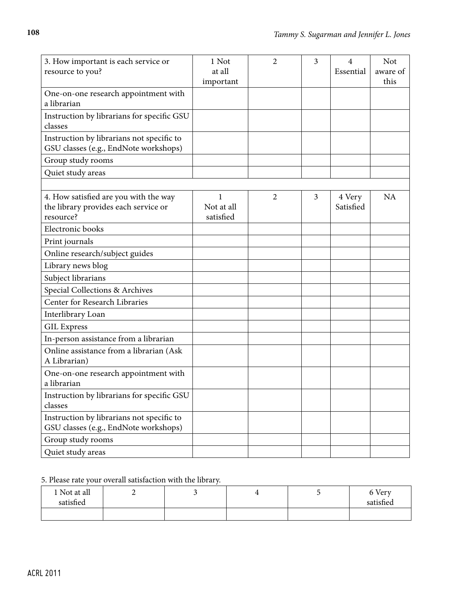| 3. How important is each service or<br>resource to you?                                    | 1 Not<br>at all<br>important | $\overline{2}$ | $\overline{3}$ | $\overline{4}$<br>Essential | <b>Not</b><br>aware of<br>this |
|--------------------------------------------------------------------------------------------|------------------------------|----------------|----------------|-----------------------------|--------------------------------|
| One-on-one research appointment with<br>a librarian                                        |                              |                |                |                             |                                |
| Instruction by librarians for specific GSU<br>classes                                      |                              |                |                |                             |                                |
| Instruction by librarians not specific to<br>GSU classes (e.g., EndNote workshops)         |                              |                |                |                             |                                |
| Group study rooms                                                                          |                              |                |                |                             |                                |
| Quiet study areas                                                                          |                              |                |                |                             |                                |
|                                                                                            |                              |                |                |                             |                                |
| 4. How satisfied are you with the way<br>the library provides each service or<br>resource? | 1<br>Not at all<br>satisfied | 2              | 3              | 4 Very<br>Satisfied         | NA                             |
| Electronic books                                                                           |                              |                |                |                             |                                |
| Print journals                                                                             |                              |                |                |                             |                                |
| Online research/subject guides                                                             |                              |                |                |                             |                                |
| Library news blog                                                                          |                              |                |                |                             |                                |
| Subject librarians                                                                         |                              |                |                |                             |                                |
| Special Collections & Archives                                                             |                              |                |                |                             |                                |
| Center for Research Libraries                                                              |                              |                |                |                             |                                |
| Interlibrary Loan                                                                          |                              |                |                |                             |                                |
| <b>GIL Express</b>                                                                         |                              |                |                |                             |                                |
| In-person assistance from a librarian                                                      |                              |                |                |                             |                                |
| Online assistance from a librarian (Ask<br>A Librarian)                                    |                              |                |                |                             |                                |
| One-on-one research appointment with<br>a librarian                                        |                              |                |                |                             |                                |
| Instruction by librarians for specific GSU<br>classes                                      |                              |                |                |                             |                                |
| Instruction by librarians not specific to<br>GSU classes (e.g., EndNote workshops)         |                              |                |                |                             |                                |
| Group study rooms                                                                          |                              |                |                |                             |                                |
| Quiet study areas                                                                          |                              |                |                |                             |                                |

### 5. Please rate your overall satisfaction with the library.

| 1 Not at all | ∸ |  | 6 Very    |
|--------------|---|--|-----------|
| satisfied    |   |  | satisfied |
|              |   |  |           |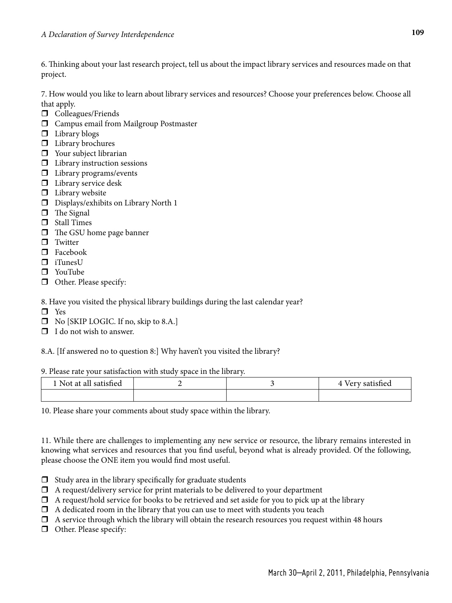6. Thinking about your last research project, tell us about the impact library services and resources made on that project.

7. How would you like to learn about library services and resources? Choose your preferences below. Choose all that apply.

- $\Box$  Colleagues/Friends
- Campus email from Mailgroup Postmaster
- $\Box$  Library blogs
- $\Box$  Library brochures
- **D** Your subject librarian
- $\Box$  Library instruction sessions
- $\square$  Library programs/events
- $\Box$  Library service desk
- $\Box$  Library website
- Displays/exhibits on Library North 1
- $\Box$  The Signal
- **D** Stall Times
- $\Box$  The GSU home page banner
- $\Box$  Twitter
- □ Facebook
- $\Box$  iTunesU
- YouTube
- Other. Please specify:
- 8. Have you visited the physical library buildings during the last calendar year?
- □ Yes
- □ No [SKIP LOGIC. If no, skip to 8.A.]
- $\Box$  I do not wish to answer.

8.A. [If answered no to question 8:] Why haven't you visited the library?

#### 9. Please rate your satisfaction with study space in the library.

| 1 Not at all satisfied |  | Very satisfied<br>$\Delta$ |
|------------------------|--|----------------------------|
|                        |  |                            |

10. Please share your comments about study space within the library.

11. While there are challenges to implementing any new service or resource, the library remains interested in knowing what services and resources that you find useful, beyond what is already provided. Of the following, please choose the ONE item you would find most useful.

- $\Box$  Study area in the library specifically for graduate students
- $\Box$  A request/delivery service for print materials to be delivered to your department
- $\Box$  A request/hold service for books to be retrieved and set aside for you to pick up at the library
- $\Box$  A dedicated room in the library that you can use to meet with students you teach
- A service through which the library will obtain the research resources you request within 48 hours
- **Other.** Please specify: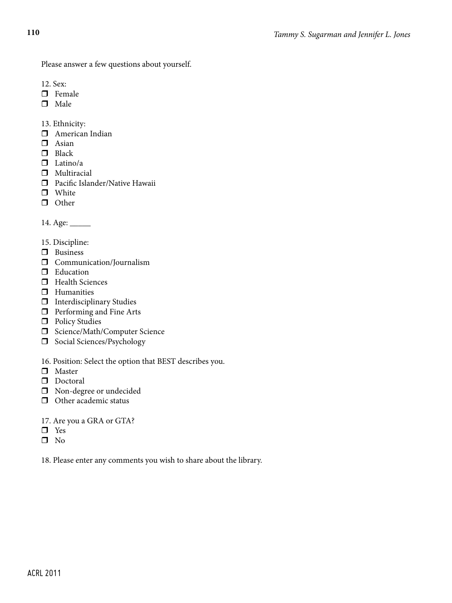Please answer a few questions about yourself.

- 12. Sex:
- $\Box$  Female
- $\Box$  Male

13. Ethnicity:

- American Indian
- $\Box$  Asian
- $\Box$  Black
- $\Box$  Latino/a
- $\Box$  Multiracial
- **D** Pacific Islander/Native Hawaii
- **D** White
- **O** Other

14. Age: \_\_\_\_\_

- 15. Discipline:
- **D** Business
- **Communication/Journalism**
- **Education**
- $\Box$  Health Sciences
- $\Box$  Humanities
- $\Box$  Interdisciplinary Studies
- $\hfill\Box$  <br> Performing and Fine Arts
- $\Box$  Policy Studies
- □ Science/Math/Computer Science
- Social Sciences/Psychology
- 16. Position: Select the option that BEST describes you.
- **D** Master
- $\Box$  Doctoral
- $\Box$  Non-degree or undecided
- **O** Other academic status
- 17. Are you a GRA or GTA?
- **D** Yes
- $\square$  No

18. Please enter any comments you wish to share about the library.